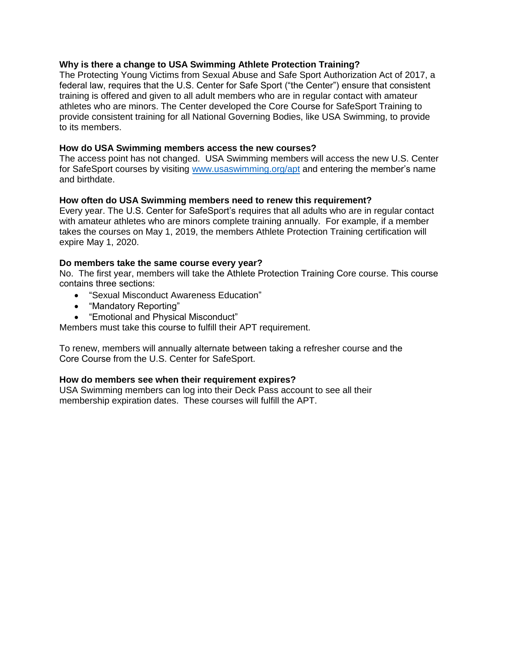# **Why is there a change to USA Swimming Athlete Protection Training?**

The Protecting Young Victims from Sexual Abuse and Safe Sport Authorization Act of 2017, a federal law, requires that the U.S. Center for Safe Sport ("the Center") ensure that consistent training is offered and given to all adult members who are in regular contact with amateur athletes who are minors. The Center developed the Core Course for SafeSport Training to provide consistent training for all National Governing Bodies, like USA Swimming, to provide to its members.

## **How do USA Swimming members access the new courses?**

The access point has not changed. USA Swimming members will access the new U.S. Center for SafeSport courses by visiting [www.usaswimming.org/apt](http://www.usaswimming.org/apt) and entering the member's name and birthdate.

## **How often do USA Swimming members need to renew this requirement?**

Every year. The U.S. Center for SafeSport's requires that all adults who are in regular contact with amateur athletes who are minors complete training annually. For example, if a member takes the courses on May 1, 2019, the members Athlete Protection Training certification will expire May 1, 2020.

## **Do members take the same course every year?**

No. The first year, members will take the Athlete Protection Training Core course. This course contains three sections:

- "Sexual Misconduct Awareness Education"
- "Mandatory Reporting"
- "Emotional and Physical Misconduct"

Members must take this course to fulfill their APT requirement.

To renew, members will annually alternate between taking a refresher course and the Core Course from the U.S. Center for SafeSport.

#### **How do members see when their requirement expires?**

USA Swimming members can log into their Deck Pass account to see all their membership expiration dates. These courses will fulfill the APT.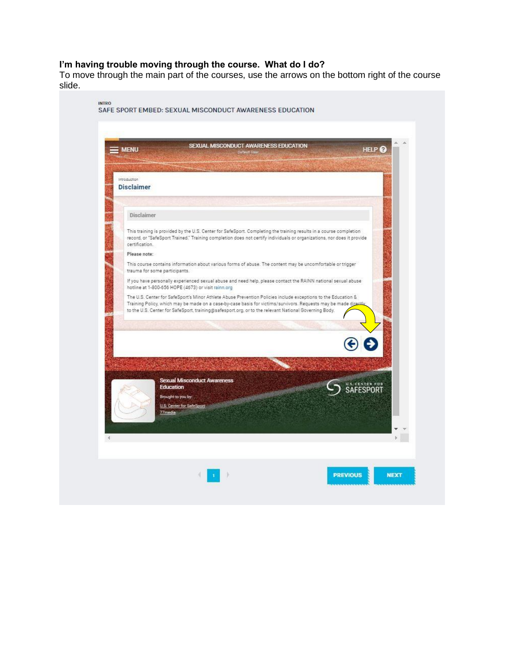#### **I'm having trouble moving through the course. What do I do?**

To move through the main part of the courses, use the arrows on the bottom right of the course slide.

| <b>MENU</b>                                   | Default User                                                                                                                                                                                                                                                                                                                            | SEXUAL MISCONDUCT AWARENESS EDUCATION | HELP <sup>2</sup>            |
|-----------------------------------------------|-----------------------------------------------------------------------------------------------------------------------------------------------------------------------------------------------------------------------------------------------------------------------------------------------------------------------------------------|---------------------------------------|------------------------------|
|                                               |                                                                                                                                                                                                                                                                                                                                         |                                       |                              |
| introduction<br><b>Disclaimer</b>             |                                                                                                                                                                                                                                                                                                                                         |                                       |                              |
|                                               |                                                                                                                                                                                                                                                                                                                                         |                                       |                              |
| <b>Disclaimer</b>                             |                                                                                                                                                                                                                                                                                                                                         |                                       |                              |
| certification.                                | This training is provided by the U.S. Center for SafeSport. Completing the training results in a course completion<br>record, or "SafeSport Trained." Training completion does not certify individuals or organizations, nor does it provide                                                                                            |                                       |                              |
| Please note:<br>trauma for some participants. | This course contains information about various forms of abuse. The content may be uncomfortable or trigger                                                                                                                                                                                                                              |                                       |                              |
|                                               | If you have personally experienced sexual abuse and need help, please contact the RAINN national sexual abuse<br>hotline at 1-800-656 HOPE (4673) or visit rainn.org                                                                                                                                                                    |                                       |                              |
|                                               | The U.S. Center for SafeSport's Minor Athlete Abuse Prevention Policies include exceptions to the Education &<br>Training Policy, which may be made on a case-by-case basis for victims/survivors. Requests may be made direct<br>to the U.S. Center for SafeSport, training@safesport.org, or to the relevant National Governing Body. |                                       |                              |
|                                               |                                                                                                                                                                                                                                                                                                                                         |                                       |                              |
|                                               |                                                                                                                                                                                                                                                                                                                                         |                                       |                              |
|                                               | <b>Sexual Misconduct Awareness</b><br><b>Education</b>                                                                                                                                                                                                                                                                                  |                                       | U.S. CENTER FOR<br>SAFESPORT |
|                                               | Brought to you by:<br>U.S. Center for SafeSport                                                                                                                                                                                                                                                                                         |                                       |                              |
| 77media                                       |                                                                                                                                                                                                                                                                                                                                         |                                       |                              |
|                                               |                                                                                                                                                                                                                                                                                                                                         |                                       |                              |